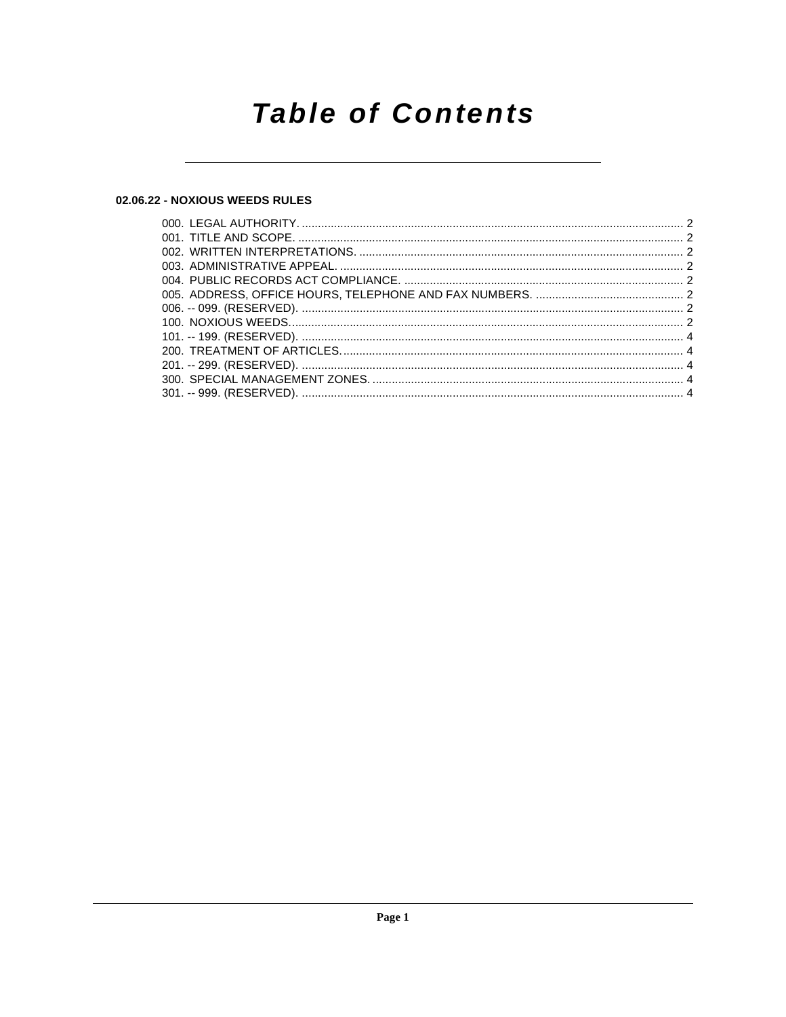## **Table of Contents**

## 02.06.22 - NOXIOUS WEEDS RULES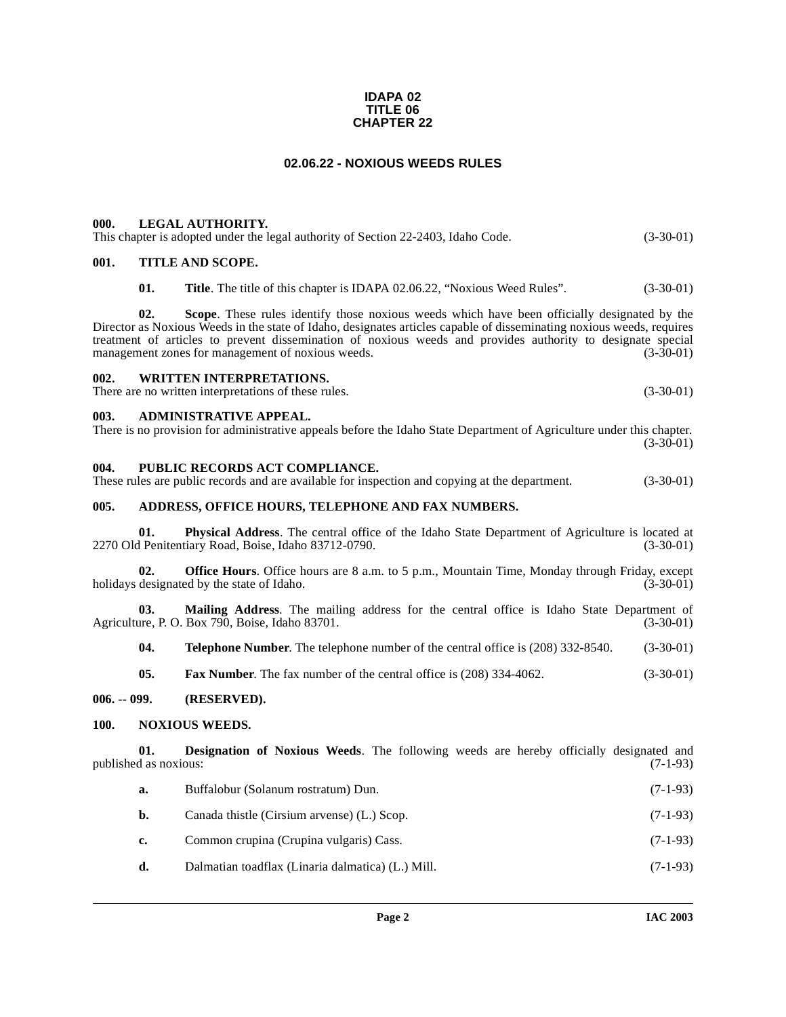#### **IDAPA 02 TITLE 06 CHAPTER 22**

#### **02.06.22 - NOXIOUS WEEDS RULES**

#### <span id="page-1-1"></span><span id="page-1-0"></span>**000. LEGAL AUTHORITY.**

| This chapter is adopted under the legal authority of Section 22-2403, Idaho Code. | $(3-30-01)$ |
|-----------------------------------------------------------------------------------|-------------|
|                                                                                   |             |

## <span id="page-1-2"></span>**001. TITLE AND SCOPE.**

**01. Title**. The title of this chapter is IDAPA 02.06.22, "Noxious Weed Rules". (3-30-01)

**02. Scope**. These rules identify those noxious weeds which have been officially designated by the Director as Noxious Weeds in the state of Idaho, designates articles capable of disseminating noxious weeds, requires treatment of articles to prevent dissemination of noxious weeds and provides authority to designate special management zones for management of noxious weeds. (3-30-01) management zones for management of noxious weeds.

#### <span id="page-1-3"></span>**002. WRITTEN INTERPRETATIONS.**

There are no written interpretations of these rules. (3-30-01)

#### <span id="page-1-4"></span>**003. ADMINISTRATIVE APPEAL.**

There is no provision for administrative appeals before the Idaho State Department of Agriculture under this chapter. (3-30-01)

#### <span id="page-1-5"></span>**004. PUBLIC RECORDS ACT COMPLIANCE.**

These rules are public records and are available for inspection and copying at the department. (3-30-01)

#### <span id="page-1-6"></span>**005. ADDRESS, OFFICE HOURS, TELEPHONE AND FAX NUMBERS.**

**01.** Physical Address. The central office of the Idaho State Department of Agriculture is located at 1 Penitentiary Road, Boise, Idaho 83712-0790. (3-30-01) 2270 Old Penitentiary Road, Boise, Idaho 83712-0790.

**02. Office Hours**. Office hours are 8 a.m. to 5 p.m., Mountain Time, Monday through Friday, except designated by the state of Idaho. (3-30-01) holidays designated by the state of Idaho.

**03. Mailing Address**. The mailing address for the central office is Idaho State Department of Agriculture, P. O. Box 790, Boise, Idaho 83701.

**04. Telephone Number**. The telephone number of the central office is (208) 332-8540. (3-30-01)

<span id="page-1-10"></span>**05. Fax Number**. The fax number of the central office is (208) 334-4062. (3-30-01)

#### <span id="page-1-7"></span>**006. -- 099. (RESERVED).**

#### <span id="page-1-8"></span>**100. NOXIOUS WEEDS.**

**01. Designation of Noxious Weeds**. The following weeds are hereby officially designated and d as noxious: (7-1-93) published as noxious:

- <span id="page-1-9"></span>**a.** Buffalobur (Solanum rostratum) Dun. (7-1-93)
- **b.** Canada thistle (Cirsium arvense) (L.) Scop. (7-1-93)
- **c.** Common crupina (Crupina vulgaris) Cass. (7-1-93)
- **d.** Dalmatian toadflax (Linaria dalmatica) (L.) Mill. (7-1-93)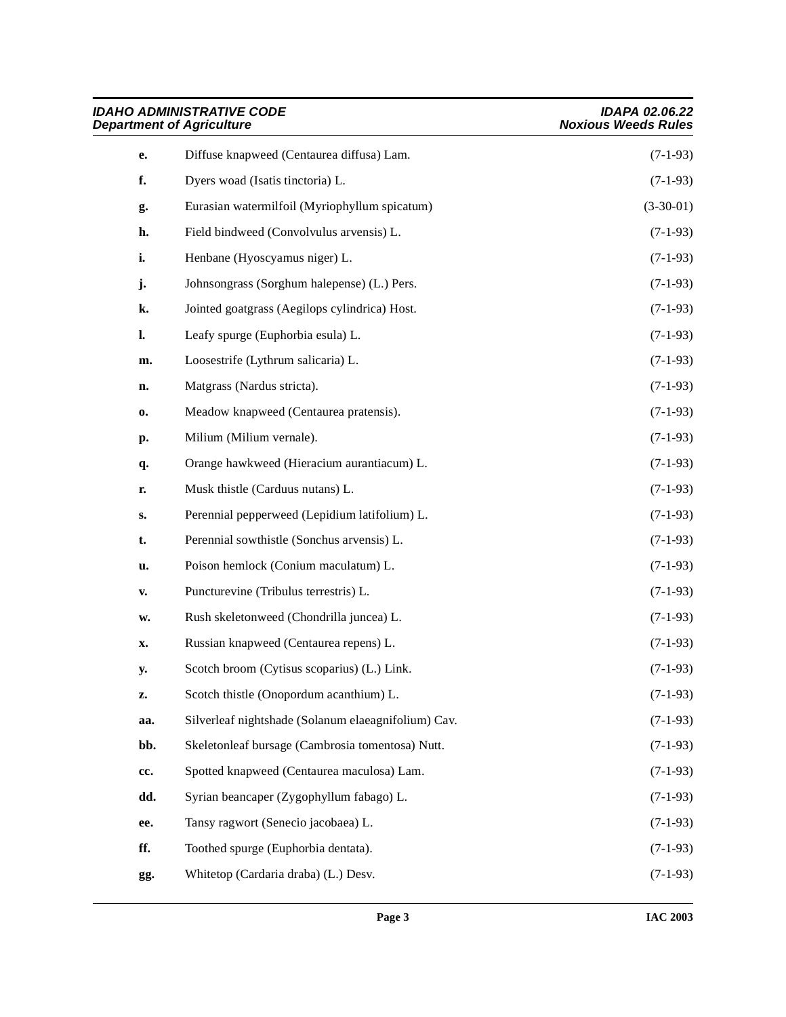| <b>IDAHO ADMINISTRATIVE CODE</b><br><b>Department of Agriculture</b> |                                                     | <b>IDAPA 02.06.22</b><br><b>Noxious Weeds Rules</b> |
|----------------------------------------------------------------------|-----------------------------------------------------|-----------------------------------------------------|
| e.                                                                   | Diffuse knapweed (Centaurea diffusa) Lam.           | $(7-1-93)$                                          |
| f.                                                                   | Dyers woad (Isatis tinctoria) L.                    | $(7-1-93)$                                          |
| g.                                                                   | Eurasian watermilfoil (Myriophyllum spicatum)       | $(3-30-01)$                                         |
| h.                                                                   | Field bindweed (Convolvulus arvensis) L.            | $(7-1-93)$                                          |
| i.                                                                   | Henbane (Hyoscyamus niger) L.                       | $(7-1-93)$                                          |
| j.                                                                   | Johnsongrass (Sorghum halepense) (L.) Pers.         | $(7-1-93)$                                          |
| k.                                                                   | Jointed goatgrass (Aegilops cylindrica) Host.       | $(7-1-93)$                                          |
| l.                                                                   | Leafy spurge (Euphorbia esula) L.                   | $(7-1-93)$                                          |
| m.                                                                   | Loosestrife (Lythrum salicaria) L.                  | $(7-1-93)$                                          |
| n.                                                                   | Matgrass (Nardus stricta).                          | $(7-1-93)$                                          |
| 0.                                                                   | Meadow knapweed (Centaurea pratensis).              | $(7-1-93)$                                          |
| р.                                                                   | Milium (Milium vernale).                            | $(7-1-93)$                                          |
| q.                                                                   | Orange hawkweed (Hieracium aurantiacum) L.          | $(7-1-93)$                                          |
| r.                                                                   | Musk thistle (Carduus nutans) L.                    | $(7-1-93)$                                          |
| s.                                                                   | Perennial pepperweed (Lepidium latifolium) L.       | $(7-1-93)$                                          |
| t.                                                                   | Perennial sowthistle (Sonchus arvensis) L.          | $(7-1-93)$                                          |
| u.                                                                   | Poison hemlock (Conium maculatum) L.                | $(7-1-93)$                                          |
| V.                                                                   | Puncturevine (Tribulus terrestris) L.               | $(7-1-93)$                                          |
| w.                                                                   | Rush skeletonweed (Chondrilla juncea) L.            | $(7-1-93)$                                          |
| x.                                                                   | Russian knapweed (Centaurea repens) L.              | $(7-1-93)$                                          |
| y.                                                                   | Scotch broom (Cytisus scoparius) (L.) Link.         | $(7-1-93)$                                          |
| z.                                                                   | Scotch thistle (Onopordum acanthium) L.             | $(7-1-93)$                                          |
| aa.                                                                  | Silverleaf nightshade (Solanum elaeagnifolium) Cav. | $(7-1-93)$                                          |
| bb.                                                                  | Skeletonleaf bursage (Cambrosia tomentosa) Nutt.    | $(7-1-93)$                                          |
| cc.                                                                  | Spotted knapweed (Centaurea maculosa) Lam.          | $(7-1-93)$                                          |
| dd.                                                                  | Syrian beancaper (Zygophyllum fabago) L.            | $(7-1-93)$                                          |
| ee.                                                                  | Tansy ragwort (Senecio jacobaea) L.                 | $(7-1-93)$                                          |
| ff.                                                                  | Toothed spurge (Euphorbia dentata).                 | $(7-1-93)$                                          |
| gg.                                                                  | Whitetop (Cardaria draba) (L.) Desv.                | $(7-1-93)$                                          |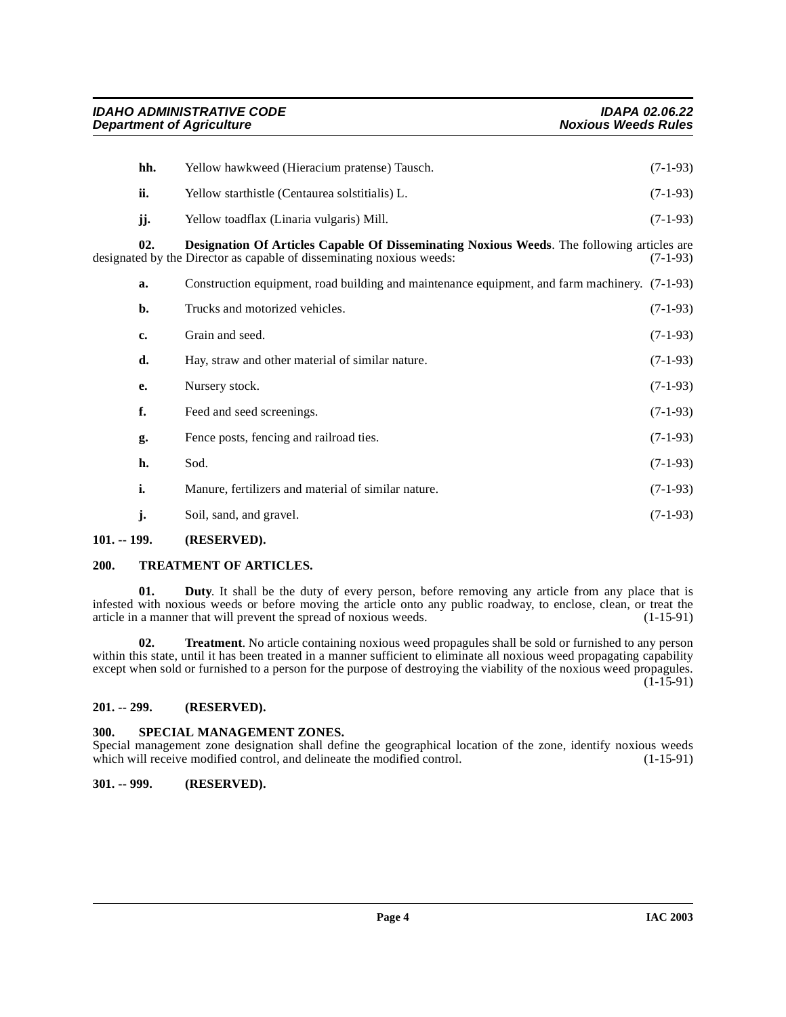<span id="page-3-5"></span>

| hh.           | Yellow hawkweed (Hieracium pratense) Tausch.                                                                                                                        | $(7-1-93)$ |
|---------------|---------------------------------------------------------------------------------------------------------------------------------------------------------------------|------------|
| ii.           | Yellow starthistle (Centaurea solstitialis) L.                                                                                                                      | $(7-1-93)$ |
| jj.           | Yellow toadflax (Linaria vulgaris) Mill.                                                                                                                            | $(7-1-93)$ |
| 02.           | Designation Of Articles Capable Of Disseminating Noxious Weeds. The following articles are<br>designated by the Director as capable of disseminating noxious weeds: | $(7-1-93)$ |
| a.            | Construction equipment, road building and maintenance equipment, and farm machinery. (7-1-93)                                                                       |            |
| b.            | Trucks and motorized vehicles.                                                                                                                                      | $(7-1-93)$ |
| c.            | Grain and seed.                                                                                                                                                     | $(7-1-93)$ |
| d.            | Hay, straw and other material of similar nature.                                                                                                                    | $(7-1-93)$ |
| е.            | Nursery stock.                                                                                                                                                      | $(7-1-93)$ |
| f.            | Feed and seed screenings.                                                                                                                                           | $(7-1-93)$ |
| g.            | Fence posts, fencing and railroad ties.                                                                                                                             | $(7-1-93)$ |
| h.            | Sod.                                                                                                                                                                | $(7-1-93)$ |
| i.            | Manure, fertilizers and material of similar nature.                                                                                                                 | $(7-1-93)$ |
| j.            | Soil, sand, and gravel.                                                                                                                                             | $(7-1-93)$ |
| $101. - 199.$ | (RESERVED).                                                                                                                                                         |            |

## <span id="page-3-7"></span><span id="page-3-1"></span><span id="page-3-0"></span>**200. TREATMENT OF ARTICLES.**

**01. Duty**. It shall be the duty of every person, before removing any article from any place that is infested with noxious weeds or before moving the article onto any public roadway, to enclose, clean, or treat the article in a manner that will prevent the spread of noxious weeds. (1-15-91) article in a manner that will prevent the spread of noxious weeds.

<span id="page-3-8"></span>**02. Treatment**. No article containing noxious weed propagules shall be sold or furnished to any person within this state, until it has been treated in a manner sufficient to eliminate all noxious weed propagating capability except when sold or furnished to a person for the purpose of destroying the viability of the noxious weed propagules.  $(1-15-91)$ 

## <span id="page-3-2"></span>**201. -- 299. (RESERVED).**

#### <span id="page-3-6"></span><span id="page-3-3"></span>**300. SPECIAL MANAGEMENT ZONES.**

Special management zone designation shall define the geographical location of the zone, identify noxious weeds which will receive modified control, and delineate the modified control. (1-15-91)

## <span id="page-3-4"></span>**301. -- 999. (RESERVED).**